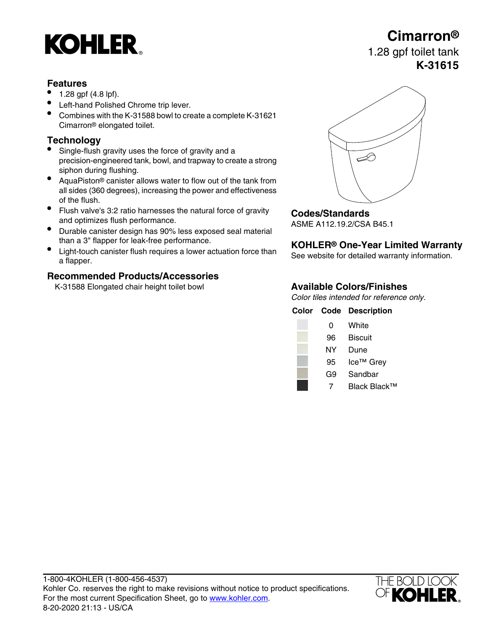# **KOHLER**

### **Features**

- 1.28 gpf (4.8 lpf).
- Left-hand Polished Chrome trip lever.
- Combines with the K-31588 bowl to create a complete K-31621 Cimarron® elongated toilet.

### **Technology**

- Single-flush gravity uses the force of gravity and a precision-engineered tank, bowl, and trapway to create a strong siphon during flushing.
- AquaPiston® canister allows water to flow out of the tank from all sides (360 degrees), increasing the power and effectiveness of the flush.
- Flush valve's 3:2 ratio harnesses the natural force of gravity and optimizes flush performance.
- and optimizes flush performance.<br>■ Durable canister design has 90% less exposed seal material Durable canister design has 90% less exposed seal material
- than a 3" flapper for leak-free performance. **KOHLER® One-Year Limited Warranty** Light-touch canister flush requires a lower actuation force than Light-touch canister hush requires a lower actuation force than<br>a flapper.

### **Recommended Products/Accessories**

K-31588 Elongated chair height toilet bowl **Available Colors/Finishes**



### **Codes/Standards**

Color tiles intended for reference only.

### **Color Code Description**

| 0  | White                 |
|----|-----------------------|
| 96 | <b>Biscuit</b>        |
| NY | Dune                  |
| 95 | Ice <sup>™</sup> Grey |
| G9 | Sandbar               |
|    | Black Black™          |



# **Cimarron®**

## 1.28 gpf toilet tank **K-31615**